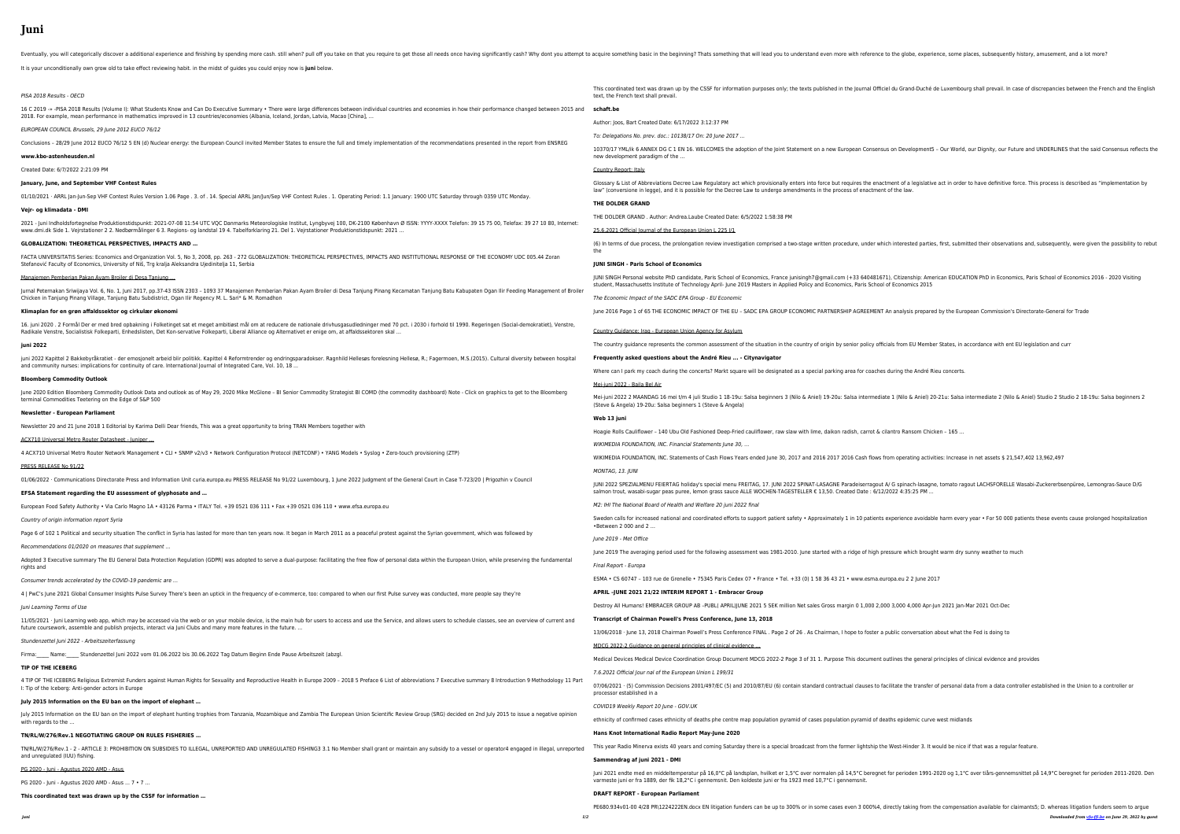# **Juni**

Eventually, you will categorically discover a additional experience and finishing by spending more cash. still when? pull off you take on that you require something that will lead you to understand even more with reference

16 C 2019 -» -PISA 2018 Results (Volume I): What Students Know and Can Do Executive Summary • There were large differences between individual countries and economies 2018. For example, mean performance in mathematics improved in 13 countries/economies (Albania, Iceland, Jordan, Latvia, Macao [China], …

It is your unconditionally own grow old to take effect reviewing habit. in the midst of guides you could enjoy now is **juni** below.

# PISA 2018 Results - OECD

2021 - Juni Indholdsfortegnelse Produktionstidspunkt: 2021-07-08 11:54 UTC VQC Danmarks Meteorologiske Institut, Lyngbyvej 100, DK-2100 København Ø ISSN: YYYY-XXXX www.dmi.dk Side 1. Vejrstationer 2 2. Nedbørmålinger 6 3. Regions- og landstal 19 4. Tabelforklaring 21. Del 1. Vejrstationer Produktionstidspunkt: 2021 …

# EUROPEAN COUNCIL Brussels, 29 June 2012 EUCO 76/12

Conclusions - 28/29 June 2012 EUCO 76/12 5 EN (d) Nuclear energy: the European Council invited Member States to ensure the full and timely implementation of the recomm

FACTA UNIVERSITATIS Series: Economics and Organization Vol. 5, No 3, 2008, pp. 263 - 272 GLOBALIZATION: THEORETICAL PERSPECTIVES, IMPACTS AND INSTITUTIONAL RES Stefanović Faculty of Economics, University of Niš, Trg kralja Aleksandra Ujedinitelja 11, Serbia

## **www.kbo-astenheusden.nl**

Created Date: 6/7/2022 2:21:09 PM

Jurnal Peternakan Sriwijaya Vol. 6, No. 1, Juni 2017, pp.37-43 ISSN 2303 - 1093 37 Manajemen Pemberian Pakan Ayam Broiler di Desa Tanjung Pinang Kecamatan Tanjung Ba Chicken in Tanjung Pinang Village, Tanjung Batu Subdistrict, Ogan Ilir Regency M. L. Sari\* & M. Romadhon

# **January, June, and September VHF Contest Rules**

01/10/2021 · ARRL Jan-Jun-Sep VHF Contest Rules Version 1.06 Page . 3. of . 14. Special ARRL Jan/Jun/Sep VHF Contest Rules . 1. Operating Period: 1.1 January: 1900 UTC Satu

16. juni 2020 . 2 Formål Der er med bred opbakning i Folketinget sat et meget ambitiøst mål om at reducere de nationale drivhusgasudledninger med 70 pct. i 2030 i forhold Radikale Venstre, Socialistisk Folkeparti, Enhedslisten, Det Kon-servative Folkeparti, Liberal Alliance og Alternativet er enige om, at affaldssektoren skal …

### **Vejr- og klimadata - DMI**

juni 2022 Kapittel 2 Bakkebyråkratiet - der emosjonelt arbeid blir politikk. Kapittel 4 Reformtrender og endringsparadokser. Ragnhild Hellesøs forelesning Hellesø, R.; Fagermo and community nurses: implications for continuity of care. International Journal of Integrated Care, Vol. 10, 18 ...

June 2020 Edition Bloomberg Commodity Outlook Data and outlook as of May 29, 2020 Mike McGlone - BI Senior Commodity Strategist BI COMD (the commodity dashboard) I terminal Commodities Teetering on the Edge of S&P 500

#### **GLOBALIZATION: THEORETICAL PERSPECTIVES, IMPACTS AND …**

#### Manajemen Pemberian Pakan Ayam Broiler di Desa Tanjung …

Adopted 3 Executive summary The EU General Data Protection Regulation (GDPR) was adopted to serve a dual-purpose: facilitating the free flow of personal data within the I rights and

#### **Klimaplan for en grøn affaldssektor og cirkulær økonomi**

11/05/2021 · Juni Learning web app, which may be accessed via the web or on your mobile device, is the main hub for users to access and use the Service, and allows users future coursework, assemble and publish projects, interact via Juni Clubs and many more features in the future. ...

4 TIP OF THE ICEBERG Religious Extremist Funders against Human Rights for Sexuality and Reproductive Health in Europe 2009 - 2018 5 Preface 6 List of abbreviations 7 Exe I: Tip of the Iceberg: Anti-gender actors in Europe

#### **juni 2022**

July 2015 Information on the EU ban on the import of elephant hunting trophies from Tanzania, Mozambique and Zambia The European Union Scientific Review Group (SRG) decided on 2nd July 2015 Information on the EU ban on the with regards to the …

TN/RL/W/276/Rev.1 - 2 - ARTICLE 3: PROHIBITION ON SUBSIDIES TO ILLEGAL, UNREPORTED AND UNREGULATED FISHING3 3.1 No Member shall grant or maintain any subsidy and unregulated (IUU) fishing.

#### **Bloomberg Commodity Outlook**

# **Newsletter - European Parliament**

Newsletter 20 and 21 June 2018 1 Editorial by Karima Delli Dear friends, This was a great opportunity to bring TRAN Members together with

ACX710 Universal Metro Router Datasheet - Juniper …

4 ACX710 Universal Metro Router Network Management • CLI • SNMP v2/v3 • Network Configuration Protocol (NETCONF) • YANG Models • Syslog • Zero-touch provisioning

#### PRESS RELEASE No 91/22

01/06/2022 · Communications Directorate Press and Information Unit curia.europa.eu PRESS RELEASE No 91/22 Luxembourg, 1 June 2022 Judgment of the General Court in C

## **EFSA Statement regarding the EU assessment of glyphosate and …**

European Food Safety Authority • Via Carlo Magno 1A • 43126 Parma • ITALY Tel. +39 0521 036 111 • Fax +39 0521 036 110 • www.efsa.europa.eu

Country of origin information report Syria

Page 6 of 102 1 Political and security situation The conflict in Syria has lasted for more than ten years now. It began in March 2011 as a peaceful protest against the Syrian go

Recommendations 01/2020 on measures that supplement …

Consumer trends accelerated by the COVID-19 pandemic are …

4 | PwC's June 2021 Global Consumer Insights Pulse Survey There's been an uptick in the frequency of e-commerce, too: compared to when our first Pulse survey was conduc

# Juni Learning Terms of Use

Stundenzettel Juni 2022 - Arbeitszeiterfassung

Firma: Name: Stundenzettel Juni 2022 vom 01.06.2022 bis 30.06.2022 Tag Datum Beginn Ende Pause Arbeitszeit (abzgl.

## **TIP OF THE ICEBERG**

## **July 2015 Information on the EU ban on the import of elephant …**

## **TN/RL/W/276/Rev.1 NEGOTIATING GROUP ON RULES FISHERIES …**

PG 2020 - Juni - Agustus 2020 AMD - Asus

PG 2020 - Juni - Agustus 2020 AMD - Asus ... 7 • 7 ...

**This coordinated text was drawn up by the CSSF for information …**

|                                                         | This coordinated text was drawn up by the CSSF for information purposes only; the texts published in the Journal Officiel du Grand<br>text, the French text shall prevail.                                                                                     |
|---------------------------------------------------------|----------------------------------------------------------------------------------------------------------------------------------------------------------------------------------------------------------------------------------------------------------------|
| s in how their performance changed between 2015 and     | schaft.be                                                                                                                                                                                                                                                      |
|                                                         | Author: Joos, Bart Created Date: 6/17/2022 3:12:37 PM                                                                                                                                                                                                          |
| nendations presented in the report from ENSREG          | To: Delegations No. prev. doc.: 10138/17 On: 20 June 2017                                                                                                                                                                                                      |
|                                                         | 10370/17 YML/ik 6 ANNEX DG C 1 EN 16. WELCOMES the adoption of the Joint Statement on a new European Consensus on Devel<br>new development paradigm of the                                                                                                     |
|                                                         | Country Report: Italy                                                                                                                                                                                                                                          |
| urday through 0359 UTC Monday.                          | Glossary & List of Abbreviations Decree Law Regulatory act which provisionally enters into force but requires the enactment of a l                                                                                                                             |
|                                                         | law" (conversione in legge), and it is possible for the Decree Law to undergo amendments in the process of enactment of the law.<br>THE DOLDER GRAND                                                                                                           |
| Telefon: 39 15 75 00, Telefax: 39 27 10 80, Internet:   | THE DOLDER GRAND. Author: Andrea.Laube Created Date: 6/5/2022 1:58:38 PM                                                                                                                                                                                       |
|                                                         | 25.6.2021 Official Journal of the European Union L 225 I/1                                                                                                                                                                                                     |
| SPONSE OF THE ECONOMY UDC 005.44 Zoran                  | (6) In terms of due process, the prolongation review investigation comprised a two-stage written procedure, under which intereste<br>the                                                                                                                       |
|                                                         | <b>JUNI SINGH - Paris School of Economics</b>                                                                                                                                                                                                                  |
| atu Kabupaten Ogan Ilir Feeding Management of Broiler   | JUNI SINGH Personal website PhD candidate, Paris School of Economics, France junisingh7@gmail.com (+33 640481671), Citizens<br>student, Massachusetts Institute of Technology April-June 2019 Masters in Applied Policy and Economics, Paris School of Economi |
|                                                         | The Economic Impact of the SADC EPA Group - EU Economic                                                                                                                                                                                                        |
|                                                         | June 2016 Page 1 of 65 THE ECONOMIC IMPACT OF THE EU - SADC EPA GROUP ECONOMIC PARTNERSHIP AGREEMENT An analysis                                                                                                                                               |
| I til 1990. Regeringen (Social-demokratiet), Venstre,   | Country Guidance: Iraq - European Union Agency for Asylum                                                                                                                                                                                                      |
|                                                         | The country guidance represents the common assessment of the situation in the country of origin by senior policy officials from E                                                                                                                              |
| oen, M.S.(2015). Cultural diversity between hospital    | Frequently asked questions about the André Rieu  - Citynavigator                                                                                                                                                                                               |
|                                                         | Where can I park my coach during the concerts? Markt square will be designated as a special parking area for coaches during the                                                                                                                                |
| Note - Click on graphics to get to the Bloomberg        | Mei-juni 2022 - Baila Bel Air                                                                                                                                                                                                                                  |
|                                                         | Mei-juni 2022 2 MAANDAG 16 mei t/m 4 juli Studio 1 18-19u: Salsa beginners 3 (Nilo & Aniel) 19-20u: Salsa intermediate 1 (Nilo &<br>(Steve & Angela) 19-20u: Salsa beginners 1 (Steve & Angela)                                                                |
|                                                         | Web 13 juni                                                                                                                                                                                                                                                    |
|                                                         | Hoagie Rolls Cauliflower - 140 Ubu Old Fashioned Deep-Fried cauliflower, raw slaw with lime, daikon radish, carrot & cilantro Rans                                                                                                                             |
|                                                         | WIKIMEDIA FOUNDATION, INC. Financial Statements June 30,                                                                                                                                                                                                       |
| (ZTP)                                                   | WIKIMEDIA FOUNDATION, INC. Statements of Cash Flows Years ended June 30, 2017 and 2016 2017 2016 Cash flows from operati                                                                                                                                       |
| Case T-723/20   Prigozhin v Council                     | MONTAG, 13. JUNI                                                                                                                                                                                                                                               |
|                                                         | JUNI 2022 SPEZIALMENU FEIERTAG holiday's special menu FREITAG, 17. JUNI 2022 SPINAT-LASAGNE Paradeiserragout A/ G spinac<br>salmon trout, wasabi-sugar peas puree, lemon grass sauce ALLE WOCHEN-TAGESTELLER € 13,50. Created Date: 6/12/2022 4:35:            |
|                                                         | M2: IHI The National Board of Health and Welfare 20 juni 2022 final                                                                                                                                                                                            |
| overnment, which was followed by                        | Sweden calls for increased national and coordinated efforts to support patient safety • Approximately 1 in 10 patients experience<br>•Between 2 000 and 2                                                                                                      |
|                                                         | June 2019 - Met Office                                                                                                                                                                                                                                         |
| European Union, while preserving the fundamental        | June 2019 The averaging period used for the following assessment was 1981-2010. June started with a ridge of high pressure whic                                                                                                                                |
|                                                         | Final Report - Europa                                                                                                                                                                                                                                          |
|                                                         | ESMA • CS 60747 - 103 rue de Grenelle • 75345 Paris Cedex 07 • France • Tel. +33 (0) 1 58 36 43 21 • www.esma.europa.eu 2 2                                                                                                                                    |
| cted, more people say they're                           | APRIL-JUNE 2021 21/22 INTERIM REPORT 1 - Embracer Group                                                                                                                                                                                                        |
|                                                         | Destroy All Humans! EMBRACER GROUP AB -PUBL(APRIL)JUNE 2021 5 SEK million Net sales Gross margin 0 1,000 2,000 3,000 4,0                                                                                                                                       |
| to schedule classes, see an overview of current and     | Transcript of Chairman Powell's Press Conference, June 13, 2018                                                                                                                                                                                                |
|                                                         | 13/06/2018 · June 13, 2018 Chairman Powell's Press Conference FINAL . Page 2 of 26. As Chairman, I hope to foster a public conv                                                                                                                                |
|                                                         | MDCG 2022-2 Guidance on general principles of clinical evidence                                                                                                                                                                                                |
|                                                         | Medical Devices Medical Device Coordination Group Document MDCG 2022-2 Page 3 of 31 1. Purpose This document outlines the                                                                                                                                      |
| ecutive summary 8 Introduction 9 Methodology 11 Part    | 7.6.2021 Official Jour nal of the European Union L 199/31                                                                                                                                                                                                      |
|                                                         | 07/06/2021 · (5) Commission Decisions 2001/497/EC (5) and 2010/87/EU (6) contain standard contractual clauses to facilitate the<br>processor established in a                                                                                                  |
| decided on 2nd July 2015 to issue a negative opinion    | COVID19 Weekly Report 10 June - GOV.UK                                                                                                                                                                                                                         |
|                                                         | ethnicity of confirmed cases ethnicity of deaths phe centre map population pyramid of cases population pyramid of deaths epider                                                                                                                                |
|                                                         | Hans Knot International Radio Report May-June 2020                                                                                                                                                                                                             |
| to a vessel or operator4 engaged in illegal, unreported | This year Radio Minerva exists 40 years and coming Saturday there is a special broadcast from the former lightship the West-Hind                                                                                                                               |
|                                                         | Sammendrag af juni 2021 - DMI                                                                                                                                                                                                                                  |
|                                                         | Juni 2021 endte med en middeltemperatur på 16,0°C på landsplan, hvilket er 1,5°C over normalen på 14,5°C beregnet for periode<br>varmeste juni er fra 1889, der fik 18,2°C i gennemsnit. Den koldeste juni er fra 1923 med 10,7°C i gennemsnit.                |
|                                                         | <b>DRAFT REPORT - European Parliament</b>                                                                                                                                                                                                                      |
|                                                         | PE680.934v01-00 4/28 PR\1224222EN.docx EN litigation funders can be up to 300% or in some cases even 3 000%4, directly taking                                                                                                                                  |

I du Grand-Duché de Luxembourg shall prevail. In case of discrepancies between the French and the English

15333350 in Development5 - Our World, our Dignity, our Future and UNDERLINES that the said Consensus reflects the

nent of a legislative act in order to have definitive force. This process is described as "implementation by

interested parties, first, submitted their observations and, subsequently, were given the possibility to rebut

, Citizenship: American EDUCATION PhD in Economics, Paris School of Economics 2016 - 2020 Visiting f Economics 2015

n analysis prepared by the European Commission's Directorate-General for Trade

als from EU Member States, in accordance with ent EU legislation and curr

during the André Rieu concerts

e 1 (Nilo & Aniel) 20-21u: Salsa intermediate 2 (Nilo & Aniel) Studio 2 Studio 2 18-19u: Salsa beginners 2

antro Ransom Chicken – 165 …

om operating activities: Increase in net assets \$ 21,547,402 13,962,497

J G spinach-lasagne, tomato ragout LACHSFORELLE Wasabi-Zuckererbsenpüree, Lemongras-Sauce D/G 8022 4:35:25 PM ...

 $s$  is and and coordinational and the support  $s$  increase  $s$  in these events cause prolonged hospitalization

ssure which brought warm dry sunny weather to much

opa.eu 2 2 June 2017

0 3,000 4,000 Apr-Jun 2021 Jan-Mar 2021 Oct-Dec

ublic conversation about what the Fed is doing to

itlines the general principles of clinical evidence and provides

ilitate the transfer of personal data from a data controller established in the Union to a controller or:

ths epidemic curve west midlands

West-Hinder 3. It would be nice if that was a regular feature.

for perioden 1991-2020 og 1,1°C over tiårs-gennemsnittet på 14,9°C beregnet for perioden 2011-2020. Den

*juni 1/2 Downloaded from [vfu-ffi.be](https://vfu-ffi.be) on June 29, 2022 by guest* ectly taking from the compensation available for claimants5; D. whereas litigation funders seem to argue